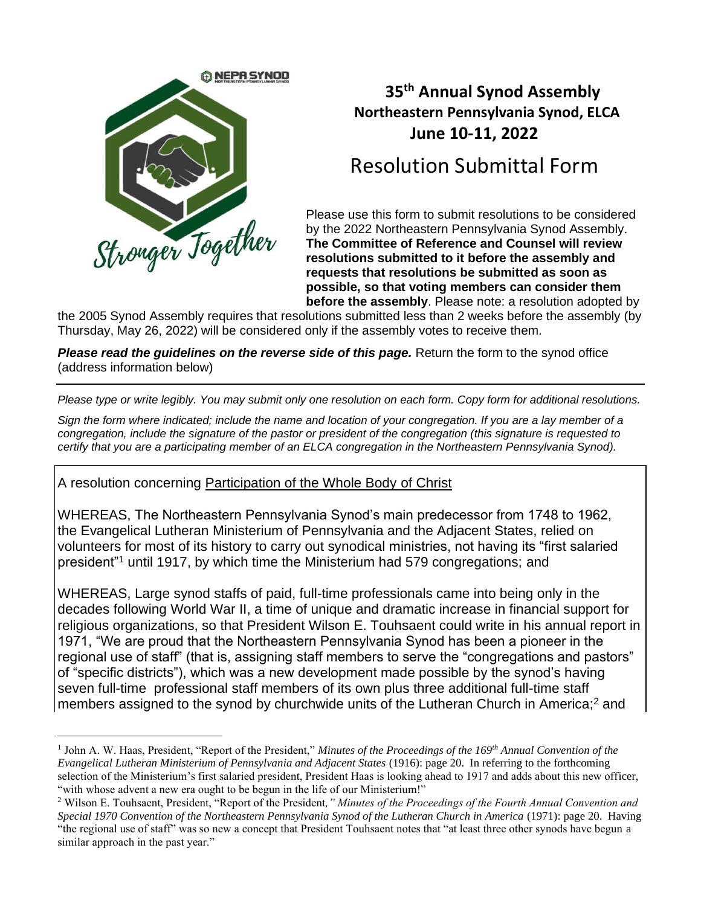

## **35 th Annual Synod Assembly Northeastern Pennsylvania Synod, ELCA June 10-11, 2022**

# Resolution Submittal Form

Please use this form to submit resolutions to be considered by the 2022 Northeastern Pennsylvania Synod Assembly. **The Committee of Reference and Counsel will review resolutions submitted to it before the assembly and requests that resolutions be submitted as soon as possible, so that voting members can consider them before the assembly**. Please note: a resolution adopted by

the 2005 Synod Assembly requires that resolutions submitted less than 2 weeks before the assembly (by Thursday, May 26, 2022) will be considered only if the assembly votes to receive them.

*Please read the guidelines on the reverse side of this page.* Return the form to the synod office (address information below)

*Please type or write legibly. You may submit only one resolution on each form. Copy form for additional resolutions.* 

*Sign the form where indicated; include the name and location of your congregation. If you are a lay member of a congregation, include the signature of the pastor or president of the congregation (this signature is requested to certify that you are a participating member of an ELCA congregation in the Northeastern Pennsylvania Synod).*

A resolution concerning Participation of the Whole Body of Christ

WHEREAS, The Northeastern Pennsylvania Synod's main predecessor from 1748 to 1962, the Evangelical Lutheran Ministerium of Pennsylvania and the Adjacent States, relied on volunteers for most of its history to carry out synodical ministries, not having its "first salaried president"<sup>1</sup> until 1917, by which time the Ministerium had 579 congregations; and

WHEREAS, Large synod staffs of paid, full-time professionals came into being only in the decades following World War II, a time of unique and dramatic increase in financial support for religious organizations, so that President Wilson E. Touhsaent could write in his annual report in 1971, "We are proud that the Northeastern Pennsylvania Synod has been a pioneer in the regional use of staff" (that is, assigning staff members to serve the "congregations and pastors" of "specific districts"), which was a new development made possible by the synod's having seven full-time professional staff members of its own plus three additional full-time staff members assigned to the synod by churchwide units of the Lutheran Church in America;<sup>2</sup> and

<sup>1</sup> John A. W. Haas, President, "Report of the President," *Minutes of the Proceedings of the 169th Annual Convention of the Evangelical Lutheran Ministerium of Pennsylvania and Adjacent States* (1916): page 20. In referring to the forthcoming selection of the Ministerium's first salaried president, President Haas is looking ahead to 1917 and adds about this new officer, "with whose advent a new era ought to be begun in the life of our Ministerium!"

<sup>2</sup> Wilson E. Touhsaent, President, "Report of the President*," Minutes of the Proceedings of the Fourth Annual Convention and Special 1970 Convention of the Northeastern Pennsylvania Synod of the Lutheran Church in America* (1971): page 20. Having "the regional use of staff" was so new a concept that President Touhsaent notes that "at least three other synods have begun a similar approach in the past year."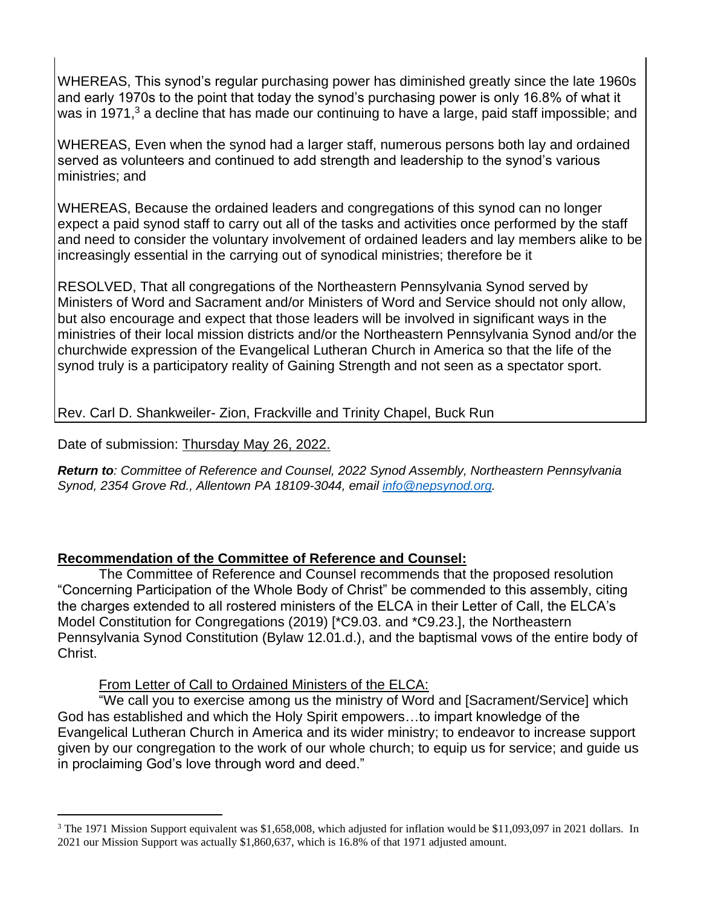WHEREAS, This synod's regular purchasing power has diminished greatly since the late 1960s and early 1970s to the point that today the synod's purchasing power is only 16.8% of what it was in 1971,<sup>3</sup> a decline that has made our continuing to have a large, paid staff impossible; and

WHEREAS, Even when the synod had a larger staff, numerous persons both lay and ordained served as volunteers and continued to add strength and leadership to the synod's various ministries; and

WHEREAS, Because the ordained leaders and congregations of this synod can no longer expect a paid synod staff to carry out all of the tasks and activities once performed by the staff and need to consider the voluntary involvement of ordained leaders and lay members alike to be increasingly essential in the carrying out of synodical ministries; therefore be it

RESOLVED, That all congregations of the Northeastern Pennsylvania Synod served by Ministers of Word and Sacrament and/or Ministers of Word and Service should not only allow, but also encourage and expect that those leaders will be involved in significant ways in the ministries of their local mission districts and/or the Northeastern Pennsylvania Synod and/or the churchwide expression of the Evangelical Lutheran Church in America so that the life of the synod truly is a participatory reality of Gaining Strength and not seen as a spectator sport.

Rev. Carl D. Shankweiler- Zion, Frackville and Trinity Chapel, Buck Run

#### Date of submission: Thursday May 26, 2022.

*Return to: Committee of Reference and Counsel, 2022 Synod Assembly, Northeastern Pennsylvania Synod, 2354 Grove Rd., Allentown PA 18109-3044, email [info@nepsynod.org.](mailto:info@nepsynod.org)* 

#### **Recommendation of the Committee of Reference and Counsel:**

The Committee of Reference and Counsel recommends that the proposed resolution "Concerning Participation of the Whole Body of Christ" be commended to this assembly, citing the charges extended to all rostered ministers of the ELCA in their Letter of Call, the ELCA's Model Constitution for Congregations (2019) [\*C9.03. and \*C9.23.], the Northeastern Pennsylvania Synod Constitution (Bylaw 12.01.d.), and the baptismal vows of the entire body of Christ.

#### From Letter of Call to Ordained Ministers of the ELCA:

"We call you to exercise among us the ministry of Word and [Sacrament/Service] which God has established and which the Holy Spirit empowers…to impart knowledge of the Evangelical Lutheran Church in America and its wider ministry; to endeavor to increase support given by our congregation to the work of our whole church; to equip us for service; and guide us in proclaiming God's love through word and deed."

<sup>&</sup>lt;sup>3</sup> The 1971 Mission Support equivalent was \$1,658,008, which adjusted for inflation would be \$11,093,097 in 2021 dollars. In 2021 our Mission Support was actually \$1,860,637, which is 16.8% of that 1971 adjusted amount.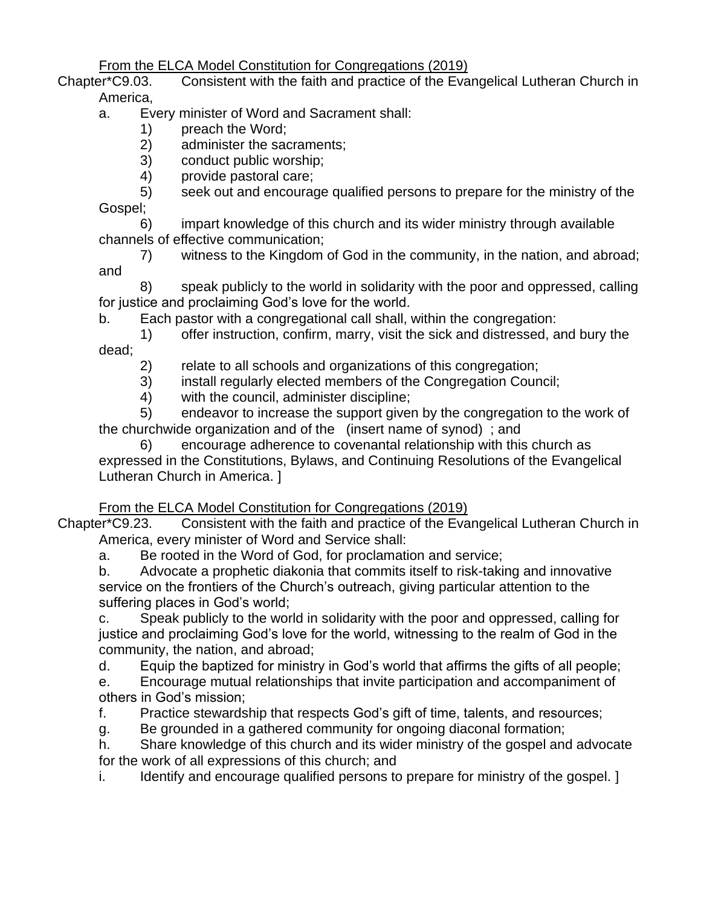### From the ELCA Model Constitution for Congregations (2019)

Chapter\*C9.03. Consistent with the faith and practice of the Evangelical Lutheran Church in America,

- a. Every minister of Word and Sacrament shall:
	- 1) preach the Word;
	- 2) administer the sacraments;
	- 3) conduct public worship;
	- 4) provide pastoral care;

5) seek out and encourage qualified persons to prepare for the ministry of the Gospel;

6) impart knowledge of this church and its wider ministry through available channels of effective communication;

7) witness to the Kingdom of God in the community, in the nation, and abroad; and

8) speak publicly to the world in solidarity with the poor and oppressed, calling for justice and proclaiming God's love for the world.

b. Each pastor with a congregational call shall, within the congregation:

1) offer instruction, confirm, marry, visit the sick and distressed, and bury the dead;

2) relate to all schools and organizations of this congregation;

- 3) install regularly elected members of the Congregation Council;
- 4) with the council, administer discipline;

5) endeavor to increase the support given by the congregation to the work of the churchwide organization and of the (insert name of synod) ; and

6) encourage adherence to covenantal relationship with this church as expressed in the Constitutions, Bylaws, and Continuing Resolutions of the Evangelical Lutheran Church in America. ]

From the ELCA Model Constitution for Congregations (2019)

Chapter\*C9.23. Consistent with the faith and practice of the Evangelical Lutheran Church in America, every minister of Word and Service shall:

a. Be rooted in the Word of God, for proclamation and service;

b. Advocate a prophetic diakonia that commits itself to risk-taking and innovative service on the frontiers of the Church's outreach, giving particular attention to the suffering places in God's world;

c. Speak publicly to the world in solidarity with the poor and oppressed, calling for justice and proclaiming God's love for the world, witnessing to the realm of God in the community, the nation, and abroad;

d. Equip the baptized for ministry in God's world that affirms the gifts of all people;

e. Encourage mutual relationships that invite participation and accompaniment of others in God's mission;

f. Practice stewardship that respects God's gift of time, talents, and resources;

g. Be grounded in a gathered community for ongoing diaconal formation;

h. Share knowledge of this church and its wider ministry of the gospel and advocate for the work of all expressions of this church; and

i. Identify and encourage qualified persons to prepare for ministry of the gospel. 1